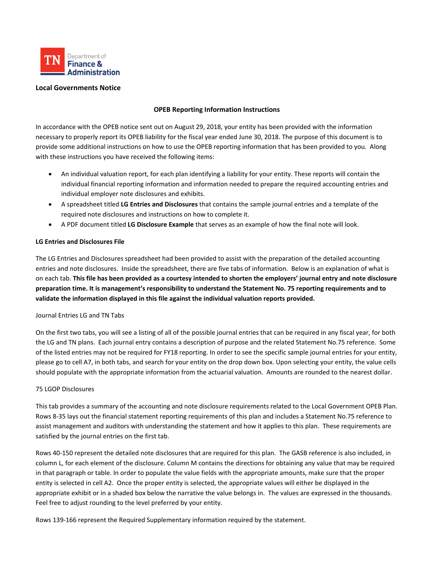

### **Local Governments Notice**

### **OPEB Reporting Information Instructions**

In accordance with the OPEB notice sent out on August 29, 2018, your entity has been provided with the information necessary to properly report its OPEB liability for the fiscal year ended June 30, 2018. The purpose of this document is to provide some additional instructions on how to use the OPEB reporting information that has been provided to you. Along with these instructions you have received the following items:

- An individual valuation report, for each plan identifying a liability for your entity. These reports will contain the individual financial reporting information and information needed to prepare the required accounting entries and individual employer note disclosures and exhibits.
- A spreadsheet titled **LG Entries and Disclosures** that contains the sample journal entries and a template of the required note disclosures and instructions on how to complete it.
- A PDF document titled **LG Disclosure Example** that serves as an example of how the final note will look.

# **LG Entries and Disclosures File**

The LG Entries and Disclosures spreadsheet had been provided to assist with the preparation of the detailed accounting entries and note disclosures. Inside the spreadsheet, there are five tabs of information. Below is an explanation of what is on each tab. **This file has been provided as a courtesy intended to shorten the employers' journal entry and note disclosure preparation time. It is management's responsibility to understand the Statement No. 75 reporting requirements and to validate the information displayed in this file against the individual valuation reports provided.**

### Journal Entries LG and TN Tabs

On the first two tabs, you will see a listing of all of the possible journal entries that can be required in any fiscal year, for both the LG and TN plans. Each journal entry contains a description of purpose and the related Statement No.75 reference. Some of the listed entries may not be required for FY18 reporting. In order to see the specific sample journal entries for your entity, please go to cell A7, in both tabs, and search for your entity on the drop down box. Upon selecting your entity, the value cells should populate with the appropriate information from the actuarial valuation. Amounts are rounded to the nearest dollar.

### 75 LGOP Disclosures

This tab provides a summary of the accounting and note disclosure requirements related to the Local Government OPEB Plan. Rows 8-35 lays out the financial statement reporting requirements of this plan and includes a Statement No.75 reference to assist management and auditors with understanding the statement and how it applies to this plan. These requirements are satisfied by the journal entries on the first tab.

Rows 40-150 represent the detailed note disclosures that are required for this plan. The GASB reference is also included, in column L, for each element of the disclosure. Column M contains the directions for obtaining any value that may be required in that paragraph or table. In order to populate the value fields with the appropriate amounts, make sure that the proper entity is selected in cell A2. Once the proper entity is selected, the appropriate values will either be displayed in the appropriate exhibit or in a shaded box below the narrative the value belongs in. The values are expressed in the thousands. Feel free to adjust rounding to the level preferred by your entity.

Rows 139-166 represent the Required Supplementary information required by the statement.